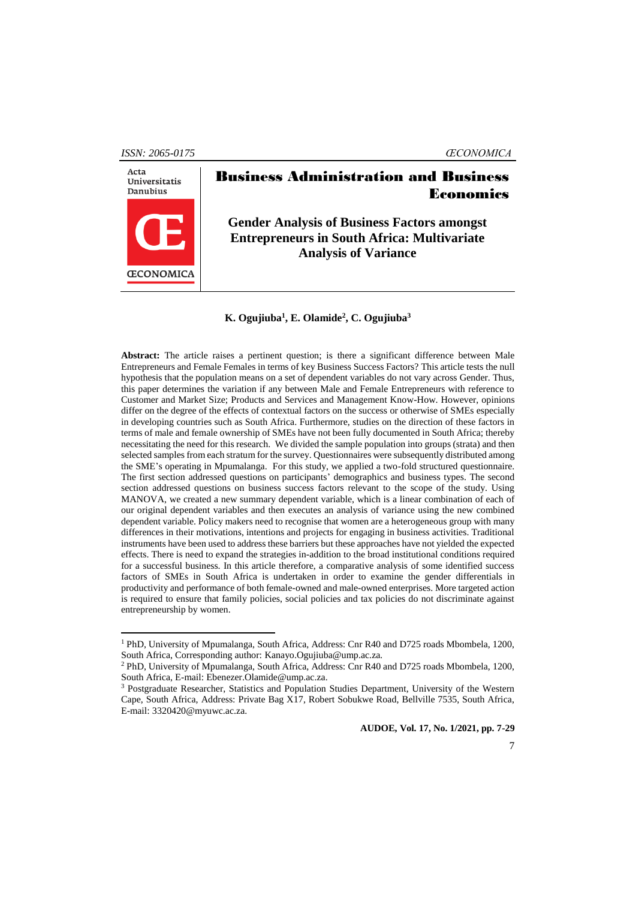*ISSN: 2065-0175 ŒCONOMICA*



 $\overline{a}$ 

# Business Administration and Business Economics

**Gender Analysis of Business Factors amongst Entrepreneurs in South Africa: Multivariate Analysis of Variance**

#### **K. Ogujiuba<sup>1</sup> , E. Olamide<sup>2</sup> , C. Ogujiuba<sup>3</sup>**

**Abstract:** The article raises a pertinent question; is there a significant difference between Male Entrepreneurs and Female Females in terms of key Business Success Factors? This article tests the null hypothesis that the population means on a set of dependent variables do not vary across Gender. Thus, this paper determines the variation if any between Male and Female Entrepreneurs with reference to Customer and Market Size; Products and Services and Management Know-How. However, opinions differ on the degree of the effects of contextual factors on the success or otherwise of SMEs especially in developing countries such as South Africa. Furthermore, studies on the direction of these factors in terms of male and female ownership of SMEs have not been fully documented in South Africa; thereby necessitating the need for this research. We divided the sample population into groups (strata) and then selected samples from each stratum for the survey. Questionnaires were subsequently distributed among the SME's operating in Mpumalanga. For this study, we applied a two-fold structured questionnaire. The first section addressed questions on participants' demographics and business types. The second section addressed questions on business success factors relevant to the scope of the study. Using MANOVA, we created a new summary dependent variable, which is a linear combination of each of our original dependent variables and then executes an analysis of variance using the new combined dependent variable. Policy makers need to recognise that women are a heterogeneous group with many differences in their motivations, intentions and projects for engaging in business activities. Traditional instruments have been used to address these barriers but these approaches have not yielded the expected effects. There is need to expand the strategies in-addition to the broad institutional conditions required for a successful business. In this article therefore, a comparative analysis of some identified success factors of SMEs in South Africa is undertaken in order to examine the gender differentials in productivity and performance of both female-owned and male-owned enterprises. More targeted action is required to ensure that family policies, social policies and tax policies do not discriminate against entrepreneurship by women.

<sup>1</sup> PhD, University of Mpumalanga, South Africa, Address: Cnr R40 and D725 roads Mbombela, 1200, South Africa, Corresponding author: Kanayo.Ogujiuba@ump.ac.za*.*

<sup>2</sup> PhD, University of Mpumalanga, South Africa, Address: Cnr R40 and D725 roads Mbombela, 1200, South Africa, E-mail: Ebenezer.Olamide@ump.ac.za.

<sup>3</sup> Postgraduate Researcher, Statistics and Population Studies Department, University of the Western Cape, South Africa, Address: Private Bag X17, Robert Sobukwe Road, Bellville 7535, South Africa, E-mail: 3320420@myuwc.ac.za.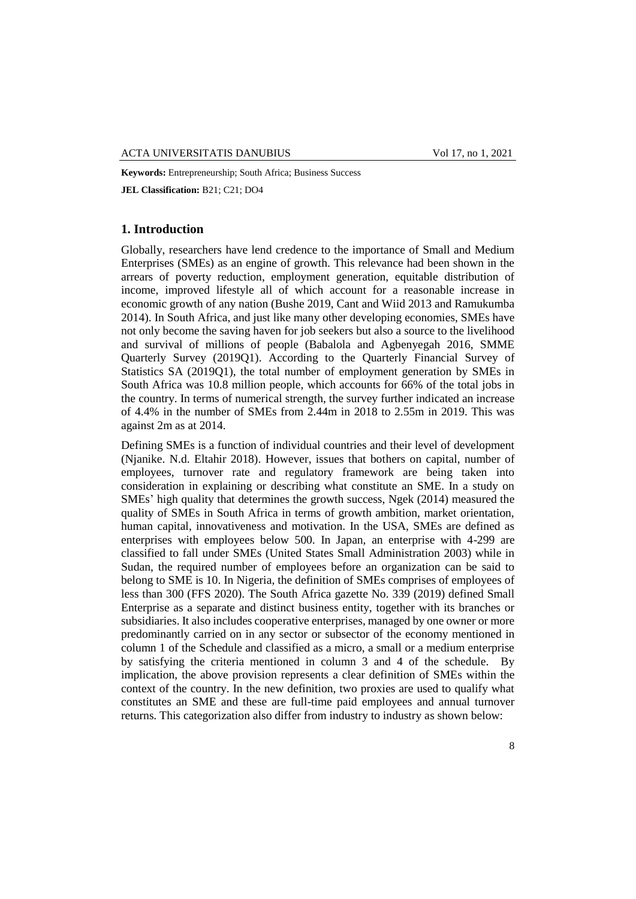**Keywords:** Entrepreneurship; South Africa; Business Success **JEL Classification:** B21; C21; DO4

# **1. Introduction**

Globally, researchers have lend credence to the importance of Small and Medium Enterprises (SMEs) as an engine of growth. This relevance had been shown in the arrears of poverty reduction, employment generation, equitable distribution of income, improved lifestyle all of which account for a reasonable increase in economic growth of any nation (Bushe 2019, Cant and Wiid 2013 and Ramukumba 2014). In South Africa, and just like many other developing economies, SMEs have not only become the saving haven for job seekers but also a source to the livelihood and survival of millions of people (Babalola and Agbenyegah 2016, SMME Quarterly Survey (2019Q1). According to the Quarterly Financial Survey of Statistics SA (2019Q1), the total number of employment generation by SMEs in South Africa was 10.8 million people, which accounts for 66% of the total jobs in the country. In terms of numerical strength, the survey further indicated an increase of 4.4% in the number of SMEs from 2.44m in 2018 to 2.55m in 2019. This was against 2m as at 2014.

Defining SMEs is a function of individual countries and their level of development (Njanike. N.d. Eltahir 2018). However, issues that bothers on capital, number of employees, turnover rate and regulatory framework are being taken into consideration in explaining or describing what constitute an SME. In a study on SMEs' high quality that determines the growth success, Ngek (2014) measured the quality of SMEs in South Africa in terms of growth ambition, market orientation, human capital, innovativeness and motivation. In the USA, SMEs are defined as enterprises with employees below 500. In Japan, an enterprise with 4-299 are classified to fall under SMEs (United States Small Administration 2003) while in Sudan, the required number of employees before an organization can be said to belong to SME is 10. In Nigeria, the definition of SMEs comprises of employees of less than 300 (FFS 2020). The South Africa gazette No. 339 (2019) defined Small Enterprise as a separate and distinct business entity, together with its branches or subsidiaries. It also includes cooperative enterprises, managed by one owner or more predominantly carried on in any sector or subsector of the economy mentioned in column 1 of the Schedule and classified as a micro, a small or a medium enterprise by satisfying the criteria mentioned in column 3 and 4 of the schedule. By implication, the above provision represents a clear definition of SMEs within the context of the country. In the new definition, two proxies are used to qualify what constitutes an SME and these are full-time paid employees and annual turnover returns. This categorization also differ from industry to industry as shown below: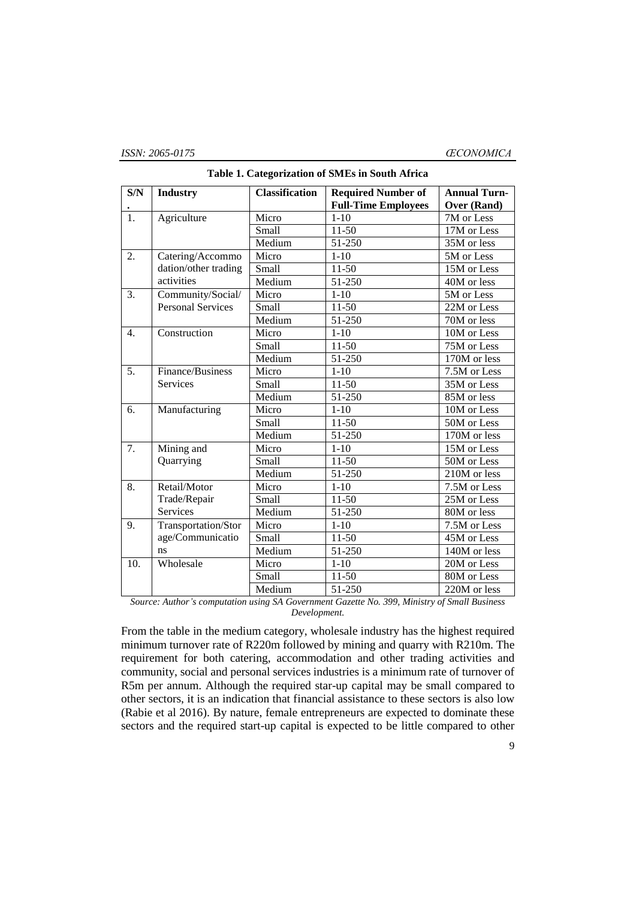| S/N              | <b>Industry</b>          | <b>Classification</b> | <b>Required Number of</b>  | <b>Annual Turn-</b>      |
|------------------|--------------------------|-----------------------|----------------------------|--------------------------|
|                  |                          |                       | <b>Full-Time Employees</b> | Over (Rand)              |
| $\overline{1}$ . | Agriculture              | Micro                 | $1 - 10$                   | 7M or Less               |
|                  |                          | Small                 | $11-50$                    | 17M or Less              |
|                  |                          | Medium                | 51-250                     | 35M or less              |
| 2.               | Catering/Accommo         | Micro                 | $1 - 10$                   | 5M or Less               |
|                  | dation/other trading     | Small                 | $11-50$                    | 15M or Less              |
|                  | activities               | Medium                | 51-250                     | 40M or less              |
| 3.               | Community/Social/        | Micro                 | $1 - 10$                   | 5M or Less               |
|                  | <b>Personal Services</b> | Small                 | $11-50$                    | 22M or Less              |
|                  |                          | Medium                | 51-250                     | 70M or less              |
| 4.               | Construction             | Micro                 | $1 - 10$                   | 10M or Less              |
|                  |                          | Small                 | $11-50$                    | $\overline{75M}$ or Less |
|                  |                          | Medium                | 51-250                     | 170M or less             |
| 5.               | Finance/Business         | Micro                 | $1 - 10$                   | 7.5M or Less             |
|                  | <b>Services</b>          | Small                 | $11-50$                    | 35M or Less              |
|                  |                          | Medium                | 51-250                     | 85M or less              |
| 6.               | Manufacturing            | Micro                 | $1 - 10$                   | 10M or Less              |
|                  |                          | Small                 | $11-50$                    | 50M or Less              |
|                  |                          | Medium                | 51-250                     | 170M or less             |
| 7.               | Mining and               | Micro                 | $1 - 10$                   | 15M or Less              |
|                  | Quarrying                | Small                 | $11-50$                    | 50M or Less              |
|                  |                          | Medium                | 51-250                     | 210M or less             |
| 8.               | Retail/Motor             | Micro                 | $1 - 10$                   | 7.5M or Less             |
|                  | Trade/Repair             | Small                 | $11-50$                    | 25M or Less              |
|                  | <b>Services</b>          | Medium                | 51-250                     | 80M or less              |
| 9.               | Transportation/Stor      | Micro                 | $1 - 10$                   | 7.5M or Less             |
|                  | age/Communicatio         | Small                 | $11-50$                    | 45M or Less              |
|                  | ns                       | Medium                | 51-250                     | 140M or less             |
| 10.              | Wholesale                | Micro                 | $1 - 10$                   | 20M or Less              |
|                  |                          | Small                 | $11-50$                    | 80M or Less              |
|                  |                          | Medium                | 51-250                     | 220M or less             |
| $\sim$           |                          |                       | 200                        |                          |

**Table 1. Categorization of SMEs in South Africa**

*Source: Author's computation using SA Government Gazette No. 399, Ministry of Small Business Development.*

From the table in the medium category, wholesale industry has the highest required minimum turnover rate of R220m followed by mining and quarry with R210m. The requirement for both catering, accommodation and other trading activities and community, social and personal services industries is a minimum rate of turnover of R5m per annum. Although the required star-up capital may be small compared to other sectors, it is an indication that financial assistance to these sectors is also low (Rabie et al 2016). By nature, female entrepreneurs are expected to dominate these sectors and the required start-up capital is expected to be little compared to other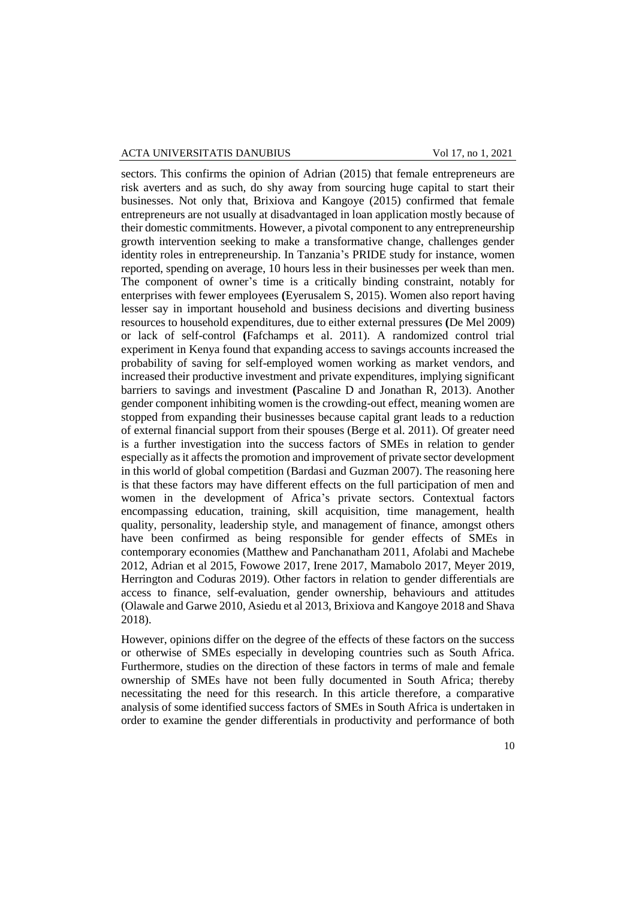sectors. This confirms the opinion of Adrian (2015) that female entrepreneurs are risk averters and as such, do shy away from sourcing huge capital to start their businesses. Not only that, Brixiova and Kangoye (2015) confirmed that female entrepreneurs are not usually at disadvantaged in loan application mostly because of their domestic commitments. However, a pivotal component to any entrepreneurship growth intervention seeking to make a transformative change, challenges gender identity roles in entrepreneurship. In Tanzania's PRIDE study for instance, women reported, spending on average, 10 hours less in their businesses per week than men. The component of owner's time is a critically binding constraint, notably for enterprises with fewer employees **(**Eyerusalem S, 2015). Women also report having lesser say in important household and business decisions and diverting business resources to household expenditures, due to either external pressures **(**De Mel 2009) or lack of self-control **(**Fafchamps et al. 2011). A randomized control trial experiment in Kenya found that expanding access to savings accounts increased the probability of saving for self-employed women working as market vendors, and increased their productive investment and private expenditures, implying significant barriers to savings and investment **(**Pascaline D and Jonathan R, 2013). Another gender component inhibiting women is the crowding-out effect, meaning women are stopped from expanding their businesses because capital grant leads to a reduction of external financial support from their spouses (Berge et al. 2011). Of greater need is a further investigation into the success factors of SMEs in relation to gender especially as it affects the promotion and improvement of private sector development in this world of global competition (Bardasi and Guzman 2007). The reasoning here is that these factors may have different effects on the full participation of men and women in the development of Africa's private sectors. Contextual factors encompassing education, training, skill acquisition, time management, health quality, personality, leadership style, and management of finance, amongst others have been confirmed as being responsible for gender effects of SMEs in contemporary economies (Matthew and Panchanatham 2011, Afolabi and Machebe 2012, Adrian et al 2015, Fowowe 2017, Irene 2017, Mamabolo 2017, Meyer 2019, Herrington and Coduras 2019). Other factors in relation to gender differentials are access to finance, self-evaluation, gender ownership, behaviours and attitudes (Olawale and Garwe 2010, Asiedu et al 2013, Brixiova and Kangoye 2018 and Shava 2018).

However, opinions differ on the degree of the effects of these factors on the success or otherwise of SMEs especially in developing countries such as South Africa. Furthermore, studies on the direction of these factors in terms of male and female ownership of SMEs have not been fully documented in South Africa; thereby necessitating the need for this research. In this article therefore, a comparative analysis of some identified success factors of SMEs in South Africa is undertaken in order to examine the gender differentials in productivity and performance of both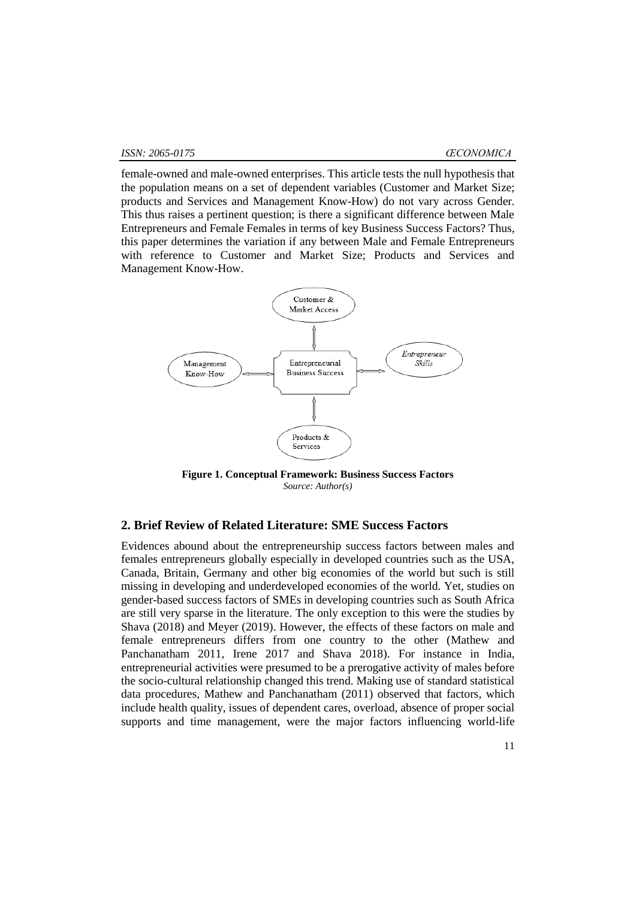female-owned and male-owned enterprises. This article tests the null hypothesis that the population means on a set of dependent variables (Customer and Market Size; products and Services and Management Know-How) do not vary across Gender. This thus raises a pertinent question; is there a significant difference between Male Entrepreneurs and Female Females in terms of key Business Success Factors? Thus, this paper determines the variation if any between Male and Female Entrepreneurs with reference to Customer and Market Size; Products and Services and Management Know-How.



**Figure 1. Conceptual Framework: Business Success Factors** *Source: Author(s)*

# **2. Brief Review of Related Literature: SME Success Factors**

Evidences abound about the entrepreneurship success factors between males and females entrepreneurs globally especially in developed countries such as the USA, Canada, Britain, Germany and other big economies of the world but such is still missing in developing and underdeveloped economies of the world. Yet, studies on gender-based success factors of SMEs in developing countries such as South Africa are still very sparse in the literature. The only exception to this were the studies by Shava (2018) and Meyer (2019). However, the effects of these factors on male and female entrepreneurs differs from one country to the other (Mathew and Panchanatham 2011, Irene 2017 and Shava 2018). For instance in India, entrepreneurial activities were presumed to be a prerogative activity of males before the socio-cultural relationship changed this trend. Making use of standard statistical data procedures, Mathew and Panchanatham (2011) observed that factors, which include health quality, issues of dependent cares, overload, absence of proper social supports and time management, were the major factors influencing world-life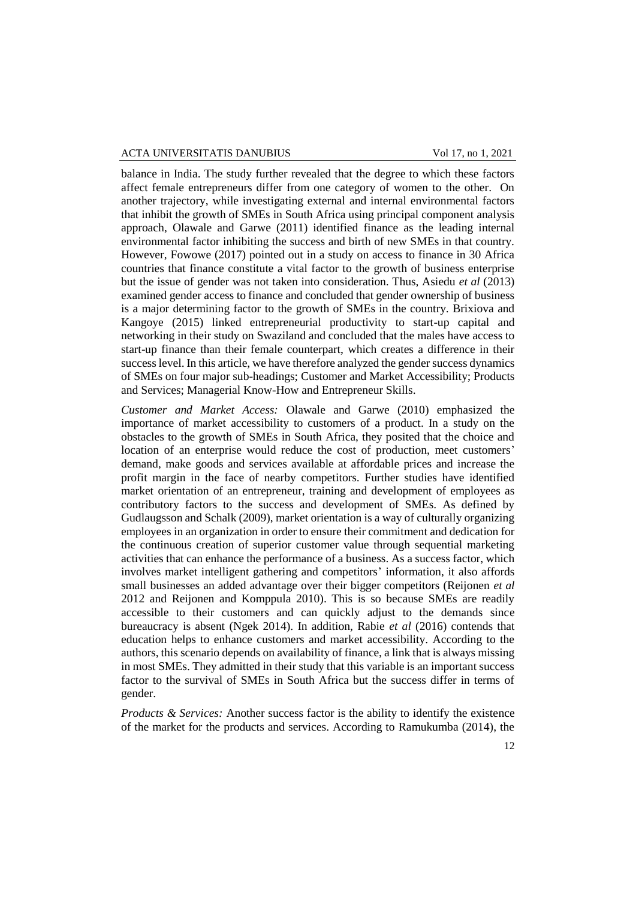balance in India. The study further revealed that the degree to which these factors affect female entrepreneurs differ from one category of women to the other. On another trajectory, while investigating external and internal environmental factors that inhibit the growth of SMEs in South Africa using principal component analysis approach, Olawale and Garwe (2011) identified finance as the leading internal environmental factor inhibiting the success and birth of new SMEs in that country. However, Fowowe (2017) pointed out in a study on access to finance in 30 Africa countries that finance constitute a vital factor to the growth of business enterprise but the issue of gender was not taken into consideration. Thus, Asiedu *et al* (2013) examined gender access to finance and concluded that gender ownership of business is a major determining factor to the growth of SMEs in the country. Brixiova and Kangoye (2015) linked entrepreneurial productivity to start-up capital and networking in their study on Swaziland and concluded that the males have access to start-up finance than their female counterpart, which creates a difference in their success level. In this article, we have therefore analyzed the gender success dynamics of SMEs on four major sub-headings; Customer and Market Accessibility; Products and Services; Managerial Know-How and Entrepreneur Skills.

*Customer and Market Access:* Olawale and Garwe (2010) emphasized the importance of market accessibility to customers of a product. In a study on the obstacles to the growth of SMEs in South Africa, they posited that the choice and location of an enterprise would reduce the cost of production, meet customers' demand, make goods and services available at affordable prices and increase the profit margin in the face of nearby competitors. Further studies have identified market orientation of an entrepreneur, training and development of employees as contributory factors to the success and development of SMEs. As defined by Gudlaugsson and Schalk (2009), market orientation is a way of culturally organizing employees in an organization in order to ensure their commitment and dedication for the continuous creation of superior customer value through sequential marketing activities that can enhance the performance of a business. As a success factor, which involves market intelligent gathering and competitors' information, it also affords small businesses an added advantage over their bigger competitors (Reijonen *et al* 2012 and Reijonen and Komppula 2010). This is so because SMEs are readily accessible to their customers and can quickly adjust to the demands since bureaucracy is absent (Ngek 2014). In addition, Rabie *et al* (2016) contends that education helps to enhance customers and market accessibility. According to the authors, this scenario depends on availability of finance, a link that is always missing in most SMEs. They admitted in their study that this variable is an important success factor to the survival of SMEs in South Africa but the success differ in terms of gender.

*Products & Services:* Another success factor is the ability to identify the existence of the market for the products and services. According to Ramukumba (2014), the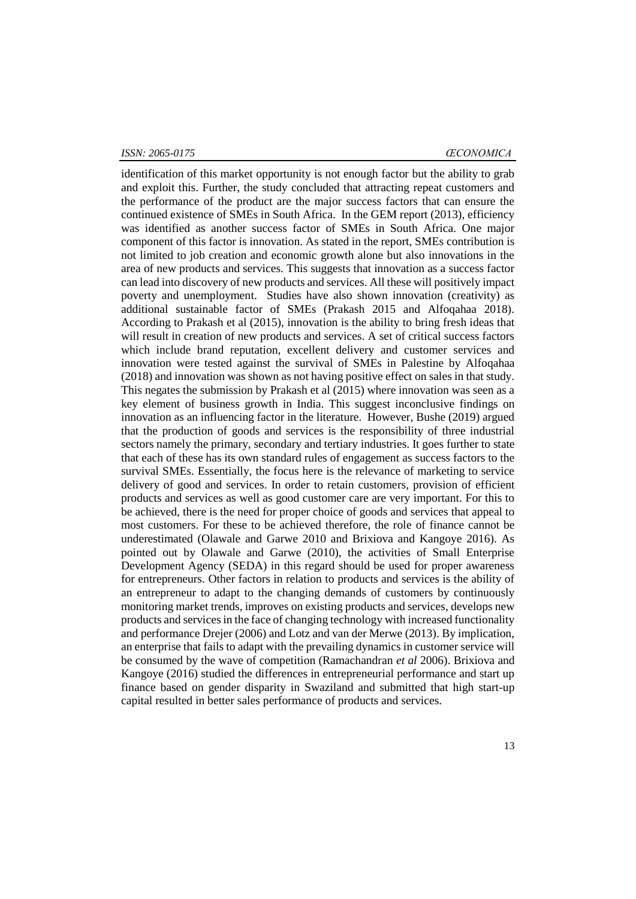#### *ISSN: 2065-0175 ŒCONOMICA*

identification of this market opportunity is not enough factor but the ability to grab and exploit this. Further, the study concluded that attracting repeat customers and the performance of the product are the major success factors that can ensure the continued existence of SMEs in South Africa. In the GEM report (2013), efficiency was identified as another success factor of SMEs in South Africa. One major component of this factor is innovation. As stated in the report, SMEs contribution is not limited to job creation and economic growth alone but also innovations in the area of new products and services. This suggests that innovation as a success factor can lead into discovery of new products and services. All these will positively impact poverty and unemployment. Studies have also shown innovation (creativity) as additional sustainable factor of SMEs (Prakash 2015 and Alfoqahaa 2018). According to Prakash et al (2015), innovation is the ability to bring fresh ideas that will result in creation of new products and services. A set of critical success factors which include brand reputation, excellent delivery and customer services and innovation were tested against the survival of SMEs in Palestine by Alfoqahaa (2018) and innovation was shown as not having positive effect on sales in that study. This negates the submission by Prakash et al (2015) where innovation was seen as a key element of business growth in India. This suggest inconclusive findings on innovation as an influencing factor in the literature. However, Bushe (2019) argued that the production of goods and services is the responsibility of three industrial sectors namely the primary, secondary and tertiary industries. It goes further to state that each of these has its own standard rules of engagement as success factors to the survival SMEs. Essentially, the focus here is the relevance of marketing to service delivery of good and services. In order to retain customers, provision of efficient products and services as well as good customer care are very important. For this to be achieved, there is the need for proper choice of goods and services that appeal to most customers. For these to be achieved therefore, the role of finance cannot be underestimated (Olawale and Garwe 2010 and Brixiova and Kangoye 2016). As pointed out by Olawale and Garwe (2010), the activities of Small Enterprise Development Agency (SEDA) in this regard should be used for proper awareness for entrepreneurs. Other factors in relation to products and services is the ability of an entrepreneur to adapt to the changing demands of customers by continuously monitoring market trends, improves on existing products and services, develops new products and services in the face of changing technology with increased functionality and performance Drejer (2006) and Lotz and van der Merwe (2013). By implication, an enterprise that fails to adapt with the prevailing dynamics in customer service will be consumed by the wave of competition (Ramachandran *et al* 2006). Brixiova and Kangoye (2016) studied the differences in entrepreneurial performance and start up finance based on gender disparity in Swaziland and submitted that high start-up capital resulted in better sales performance of products and services.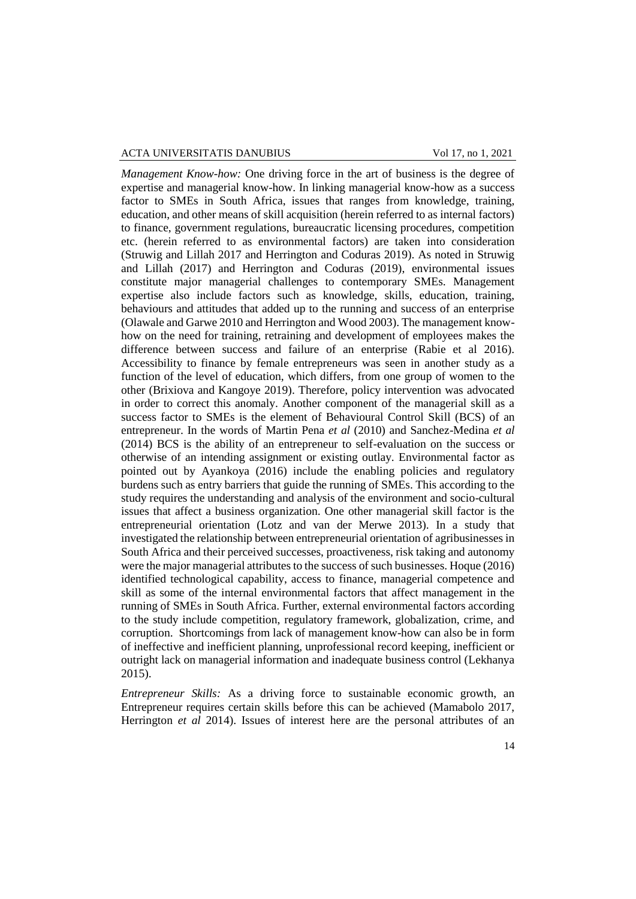*Management Know-how:* One driving force in the art of business is the degree of expertise and managerial know-how. In linking managerial know-how as a success factor to SMEs in South Africa, issues that ranges from knowledge, training, education, and other means of skill acquisition (herein referred to as internal factors) to finance, government regulations, bureaucratic licensing procedures, competition etc. (herein referred to as environmental factors) are taken into consideration (Struwig and Lillah 2017 and Herrington and Coduras 2019). As noted in Struwig and Lillah (2017) and Herrington and Coduras (2019), environmental issues constitute major managerial challenges to contemporary SMEs. Management expertise also include factors such as knowledge, skills, education, training, behaviours and attitudes that added up to the running and success of an enterprise (Olawale and Garwe 2010 and Herrington and Wood 2003). The management knowhow on the need for training, retraining and development of employees makes the difference between success and failure of an enterprise (Rabie et al 2016). Accessibility to finance by female entrepreneurs was seen in another study as a function of the level of education, which differs, from one group of women to the other (Brixiova and Kangoye 2019). Therefore, policy intervention was advocated in order to correct this anomaly. Another component of the managerial skill as a success factor to SMEs is the element of Behavioural Control Skill (BCS) of an entrepreneur. In the words of Martin Pena *et al* (2010) and Sanchez-Medina *et al* (2014) BCS is the ability of an entrepreneur to self-evaluation on the success or otherwise of an intending assignment or existing outlay. Environmental factor as pointed out by Ayankoya (2016) include the enabling policies and regulatory burdens such as entry barriers that guide the running of SMEs. This according to the study requires the understanding and analysis of the environment and socio-cultural issues that affect a business organization. One other managerial skill factor is the entrepreneurial orientation (Lotz and van der Merwe 2013). In a study that investigated the relationship between entrepreneurial orientation of agribusinesses in South Africa and their perceived successes, proactiveness, risk taking and autonomy were the major managerial attributes to the success of such businesses. Hoque (2016) identified technological capability, access to finance, managerial competence and skill as some of the internal environmental factors that affect management in the running of SMEs in South Africa. Further, external environmental factors according to the study include competition, regulatory framework, globalization, crime, and corruption. Shortcomings from lack of management know-how can also be in form of ineffective and inefficient planning, unprofessional record keeping, inefficient or outright lack on managerial information and inadequate business control (Lekhanya 2015).

*Entrepreneur Skills:* As a driving force to sustainable economic growth, an Entrepreneur requires certain skills before this can be achieved (Mamabolo 2017, Herrington *et al* 2014). Issues of interest here are the personal attributes of an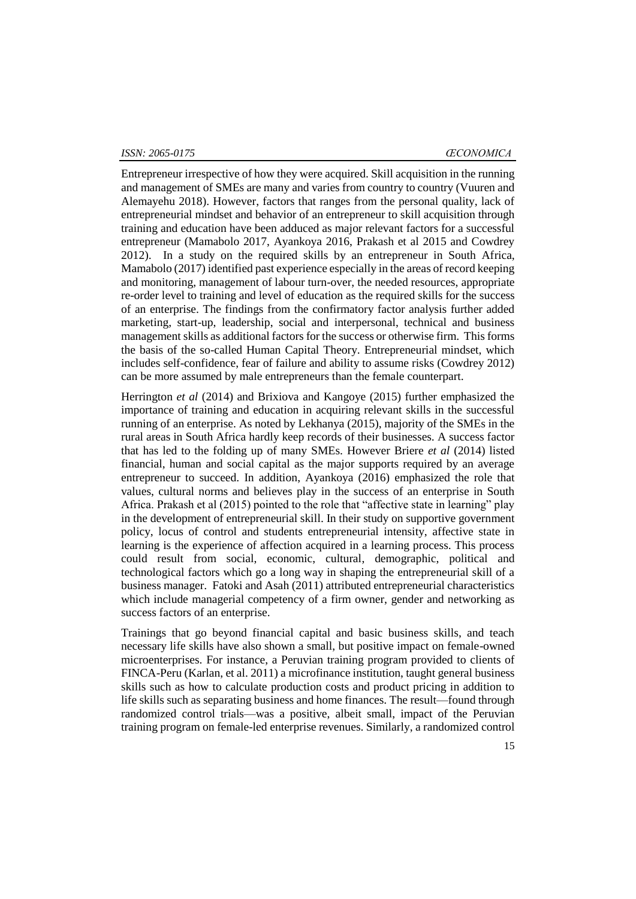Entrepreneur irrespective of how they were acquired. Skill acquisition in the running and management of SMEs are many and varies from country to country (Vuuren and Alemayehu 2018). However, factors that ranges from the personal quality, lack of entrepreneurial mindset and behavior of an entrepreneur to skill acquisition through training and education have been adduced as major relevant factors for a successful entrepreneur (Mamabolo 2017, Ayankoya 2016, Prakash et al 2015 and Cowdrey 2012). In a study on the required skills by an entrepreneur in South Africa, Mamabolo (2017) identified past experience especially in the areas of record keeping and monitoring, management of labour turn-over, the needed resources, appropriate re-order level to training and level of education as the required skills for the success of an enterprise. The findings from the confirmatory factor analysis further added marketing, start-up, leadership, social and interpersonal, technical and business management skills as additional factors for the success or otherwise firm. This forms the basis of the so-called Human Capital Theory. Entrepreneurial mindset, which includes self-confidence, fear of failure and ability to assume risks (Cowdrey 2012) can be more assumed by male entrepreneurs than the female counterpart.

Herrington *et al* (2014) and Brixiova and Kangoye (2015) further emphasized the importance of training and education in acquiring relevant skills in the successful running of an enterprise. As noted by Lekhanya (2015), majority of the SMEs in the rural areas in South Africa hardly keep records of their businesses. A success factor that has led to the folding up of many SMEs. However Briere *et al* (2014) listed financial, human and social capital as the major supports required by an average entrepreneur to succeed. In addition, Ayankoya (2016) emphasized the role that values, cultural norms and believes play in the success of an enterprise in South Africa. Prakash et al (2015) pointed to the role that "affective state in learning" play in the development of entrepreneurial skill. In their study on supportive government policy, locus of control and students entrepreneurial intensity, affective state in learning is the experience of affection acquired in a learning process. This process could result from social, economic, cultural, demographic, political and technological factors which go a long way in shaping the entrepreneurial skill of a business manager. Fatoki and Asah (2011) attributed entrepreneurial characteristics which include managerial competency of a firm owner, gender and networking as success factors of an enterprise.

Trainings that go beyond financial capital and basic business skills, and teach necessary life skills have also shown a small, but positive impact on female-owned microenterprises. For instance, a Peruvian training program provided to clients of FINCA-Peru (Karlan, et al. 2011) a microfinance institution, taught general business skills such as how to calculate production costs and product pricing in addition to life skills such as separating business and home finances. The result—found through randomized control trials—was a positive, albeit small, impact of the Peruvian training program on female-led enterprise revenues. Similarly, a randomized control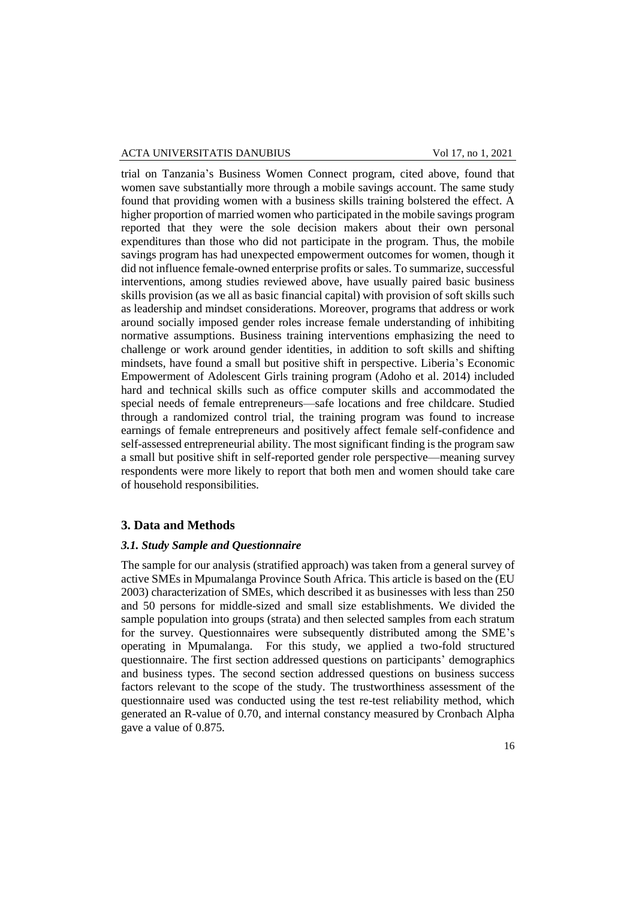trial on Tanzania's Business Women Connect program, cited above, found that women save substantially more through a mobile savings account. The same study found that providing women with a business skills training bolstered the effect. A higher proportion of married women who participated in the mobile savings program reported that they were the sole decision makers about their own personal expenditures than those who did not participate in the program. Thus, the mobile savings program has had unexpected empowerment outcomes for women, though it did not influence female-owned enterprise profits or sales. To summarize, successful interventions, among studies reviewed above, have usually paired basic business skills provision (as we all as basic financial capital) with provision of soft skills such as leadership and mindset considerations. Moreover, programs that address or work around socially imposed gender roles increase female understanding of inhibiting normative assumptions. Business training interventions emphasizing the need to challenge or work around gender identities, in addition to soft skills and shifting mindsets, have found a small but positive shift in perspective. Liberia's Economic Empowerment of Adolescent Girls training program (Adoho et al. 2014) included hard and technical skills such as office computer skills and accommodated the special needs of female entrepreneurs—safe locations and free childcare. Studied through a randomized control trial, the training program was found to increase earnings of female entrepreneurs and positively affect female self-confidence and self-assessed entrepreneurial ability. The most significant finding is the program saw a small but positive shift in self-reported gender role perspective—meaning survey respondents were more likely to report that both men and women should take care of household responsibilities.

#### **3. Data and Methods**

#### *3.1. Study Sample and Questionnaire*

The sample for our analysis (stratified approach) was taken from a general survey of active SMEs in Mpumalanga Province South Africa. This article is based on the (EU 2003) characterization of SMEs, which described it as businesses with less than 250 and 50 persons for middle-sized and small size establishments. We divided the sample population into groups (strata) and then selected samples from each stratum for the survey. Questionnaires were subsequently distributed among the SME's operating in Mpumalanga. For this study, we applied a two-fold structured questionnaire. The first section addressed questions on participants' demographics and business types. The second section addressed questions on business success factors relevant to the scope of the study. The trustworthiness assessment of the questionnaire used was conducted using the test re-test reliability method, which generated an R-value of 0.70, and internal constancy measured by Cronbach Alpha gave a value of 0.875.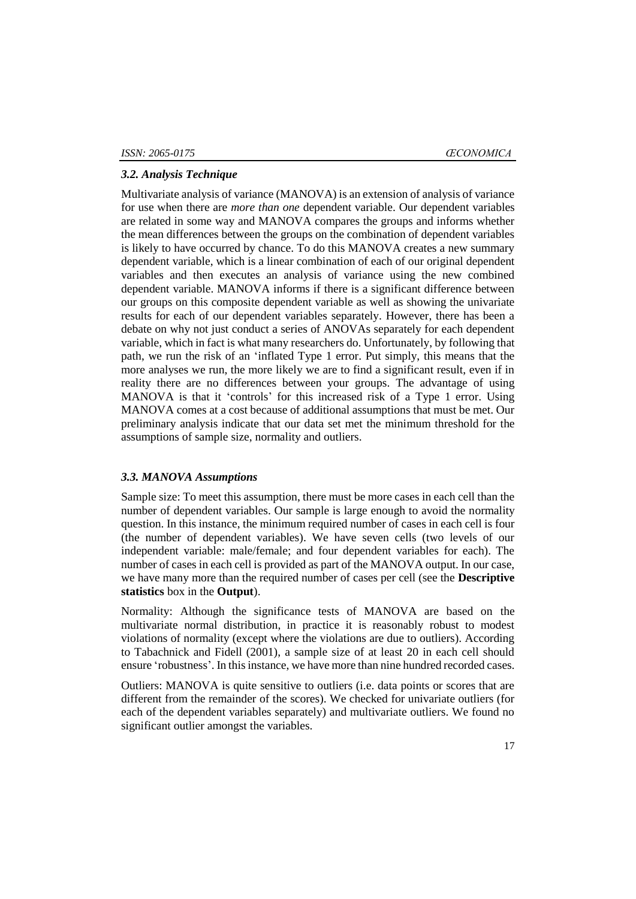### *3.2. Analysis Technique*

Multivariate analysis of variance (MANOVA) is an extension of analysis of variance for use when there are *more than one* dependent variable. Our dependent variables are related in some way and MANOVA compares the groups and informs whether the mean differences between the groups on the combination of dependent variables is likely to have occurred by chance. To do this MANOVA creates a new summary dependent variable, which is a linear combination of each of our original dependent variables and then executes an analysis of variance using the new combined dependent variable. MANOVA informs if there is a significant difference between our groups on this composite dependent variable as well as showing the univariate results for each of our dependent variables separately. However, there has been a debate on why not just conduct a series of ANOVAs separately for each dependent variable, which in fact is what many researchers do. Unfortunately, by following that path, we run the risk of an 'inflated Type 1 error. Put simply, this means that the more analyses we run, the more likely we are to find a significant result, even if in reality there are no differences between your groups. The advantage of using MANOVA is that it 'controls' for this increased risk of a Type 1 error. Using MANOVA comes at a cost because of additional assumptions that must be met. Our preliminary analysis indicate that our data set met the minimum threshold for the assumptions of sample size, normality and outliers.

### *3.3. MANOVA Assumptions*

Sample size: To meet this assumption, there must be more cases in each cell than the number of dependent variables. Our sample is large enough to avoid the normality question. In this instance, the minimum required number of cases in each cell is four (the number of dependent variables). We have seven cells (two levels of our independent variable: male/female; and four dependent variables for each). The number of cases in each cell is provided as part of the MANOVA output. In our case, we have many more than the required number of cases per cell (see the **Descriptive statistics** box in the **Output**).

Normality: Although the significance tests of MANOVA are based on the multivariate normal distribution, in practice it is reasonably robust to modest violations of normality (except where the violations are due to outliers). According to Tabachnick and Fidell (2001), a sample size of at least 20 in each cell should ensure 'robustness'. In this instance, we have more than nine hundred recorded cases.

Outliers: MANOVA is quite sensitive to outliers (i.e. data points or scores that are different from the remainder of the scores). We checked for univariate outliers (for each of the dependent variables separately) and multivariate outliers. We found no significant outlier amongst the variables.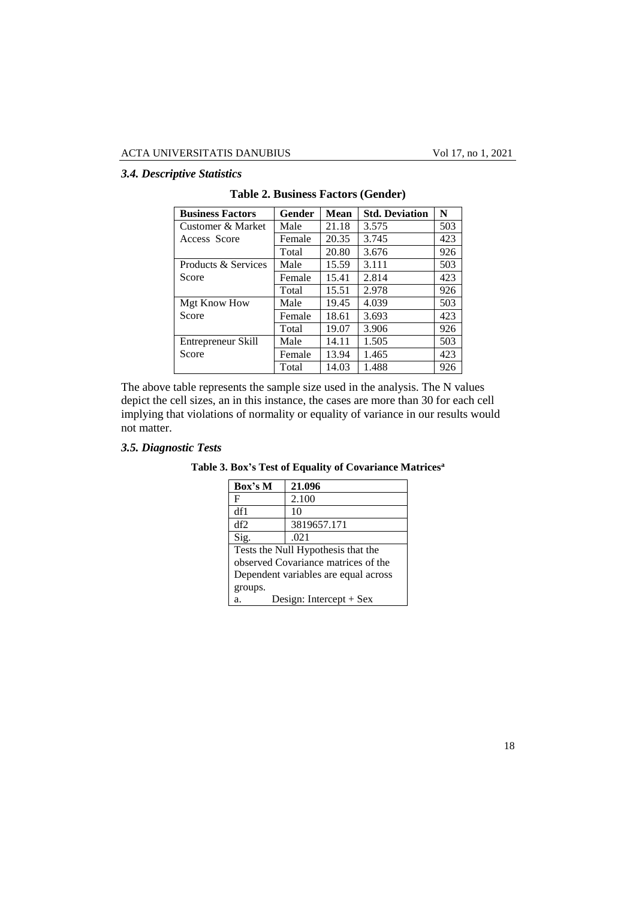# *3.4. Descriptive Statistics*

| <b>Business Factors</b> | Gender | Mean  | <b>Std. Deviation</b> | N   |
|-------------------------|--------|-------|-----------------------|-----|
| Customer & Market       | Male   | 21.18 | 3.575                 | 503 |
| Access Score            | Female | 20.35 | 3.745                 | 423 |
|                         | Total  | 20.80 | 3.676                 | 926 |
| Products & Services     | Male   | 15.59 | 3.111                 | 503 |
| Score                   | Female | 15.41 | 2.814                 | 423 |
|                         | Total  | 15.51 | 2.978                 | 926 |
| Mgt Know How            | Male   | 19.45 | 4.039                 | 503 |
| Score                   | Female | 18.61 | 3.693                 | 423 |
|                         | Total  | 19.07 | 3.906                 | 926 |
| Entrepreneur Skill      | Male   | 14.11 | 1.505                 | 503 |
| Score                   | Female | 13.94 | 1.465                 | 423 |
|                         | Total  | 14.03 | 1.488                 | 926 |

**Table 2. Business Factors (Gender)**

The above table represents the sample size used in the analysis. The N values depict the cell sizes, an in this instance, the cases are more than 30 for each cell implying that violations of normality or equality of variance in our results would not matter.

# *3.5. Diagnostic Tests*

| Box's M                              | 21.096                             |  |  |  |  |  |
|--------------------------------------|------------------------------------|--|--|--|--|--|
| F                                    | 2.100                              |  |  |  |  |  |
| df1                                  | 10                                 |  |  |  |  |  |
| df2                                  | 3819657.171                        |  |  |  |  |  |
| Sig.                                 | .021                               |  |  |  |  |  |
|                                      | Tests the Null Hypothesis that the |  |  |  |  |  |
| observed Covariance matrices of the  |                                    |  |  |  |  |  |
| Dependent variables are equal across |                                    |  |  |  |  |  |
| groups.                              |                                    |  |  |  |  |  |
| Design: Intercept $+$ Sex<br>a.      |                                    |  |  |  |  |  |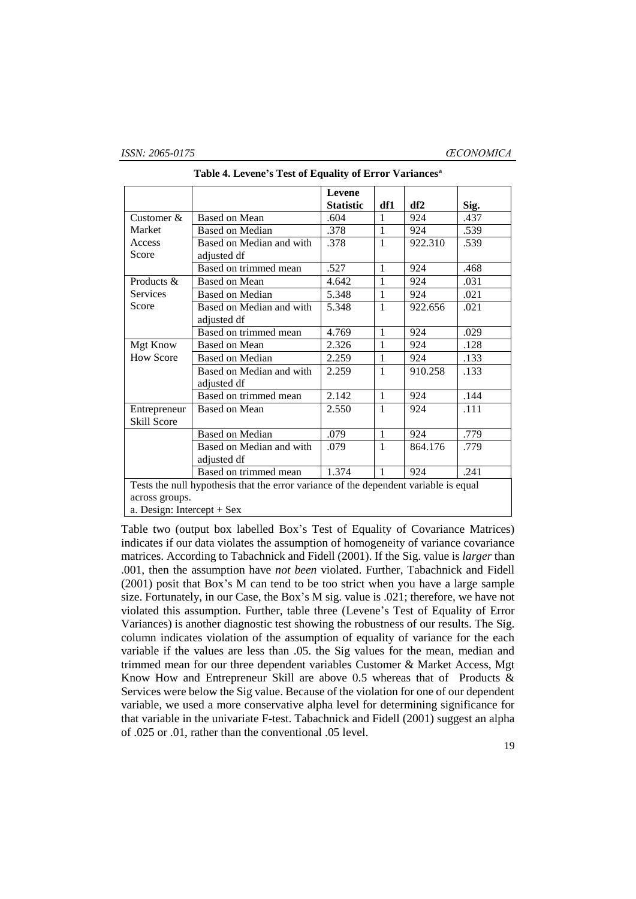|                              |                                                                                      | <b>Levene</b><br><b>Statistic</b> | df1          | df2     |              |  |  |
|------------------------------|--------------------------------------------------------------------------------------|-----------------------------------|--------------|---------|--------------|--|--|
| Customer $\&$                | Based on Mean                                                                        | .604                              | 1            | 924     | Sig.<br>.437 |  |  |
| Market                       | Based on Median                                                                      | .378                              | $\mathbf{1}$ | 924     | .539         |  |  |
| Access                       | Based on Median and with                                                             | .378                              | $\mathbf{1}$ | 922.310 | .539         |  |  |
| Score                        | adjusted df                                                                          |                                   |              |         |              |  |  |
|                              | Based on trimmed mean                                                                | .527                              | 1            | 924     | .468         |  |  |
| Products $\&$                | Based on Mean                                                                        | 4.642                             | 1            | 924     | .031         |  |  |
| <b>Services</b>              | <b>Based on Median</b>                                                               | 5.348                             | 1            | 924     | .021         |  |  |
| Score                        | Based on Median and with                                                             | 5.348                             | $\mathbf{1}$ | 922.656 | .021         |  |  |
|                              | adjusted df                                                                          |                                   |              |         |              |  |  |
|                              | Based on trimmed mean                                                                | 4.769                             | $\mathbf{1}$ | 924     | .029         |  |  |
| Mgt Know                     | Based on Mean                                                                        | 2.326                             | $\mathbf{1}$ | 924     | .128         |  |  |
| <b>How Score</b>             | <b>Based on Median</b>                                                               | 2.259                             | $\mathbf{1}$ | 924     | .133         |  |  |
|                              | Based on Median and with                                                             | 2.259                             | $\mathbf{1}$ | 910.258 | .133         |  |  |
|                              | adjusted df                                                                          |                                   |              |         |              |  |  |
|                              | Based on trimmed mean                                                                | 2.142                             | $\mathbf{1}$ | 924     | .144         |  |  |
| Entrepreneur                 | <b>Based on Mean</b>                                                                 | 2.550                             | 1            | 924     | .111         |  |  |
| Skill Score                  |                                                                                      |                                   |              |         |              |  |  |
|                              | <b>Based on Median</b>                                                               | .079                              | $\mathbf{1}$ | 924     | .779         |  |  |
|                              | Based on Median and with                                                             | .079                              | $\mathbf{1}$ | 864.176 | .779         |  |  |
|                              | adjusted df                                                                          |                                   |              |         |              |  |  |
|                              | 924                                                                                  | .241                              |              |         |              |  |  |
|                              | Tests the null hypothesis that the error variance of the dependent variable is equal |                                   |              |         |              |  |  |
| across groups.               |                                                                                      |                                   |              |         |              |  |  |
| a. Design: Intercept $+$ Sex |                                                                                      |                                   |              |         |              |  |  |

**Table 4. Levene's Test of Equality of Error Variances<sup>a</sup>**

Table two (output box labelled Box's Test of Equality of Covariance Matrices) indicates if our data violates the assumption of homogeneity of variance covariance matrices. According to Tabachnick and Fidell (2001). If the Sig. value is *larger* than .001, then the assumption have *not been* violated. Further, Tabachnick and Fidell (2001) posit that Box's M can tend to be too strict when you have a large sample size. Fortunately, in our Case, the Box's M sig. value is .021; therefore, we have not violated this assumption. Further, table three (Levene's Test of Equality of Error Variances) is another diagnostic test showing the robustness of our results. The Sig. column indicates violation of the assumption of equality of variance for the each variable if the values are less than .05. the Sig values for the mean, median and trimmed mean for our three dependent variables Customer & Market Access, Mgt Know How and Entrepreneur Skill are above 0.5 whereas that of Products & Services were below the Sig value. Because of the violation for one of our dependent variable, we used a more conservative alpha level for determining significance for that variable in the univariate F-test. Tabachnick and Fidell (2001) suggest an alpha of .025 or .01, rather than the conventional .05 level.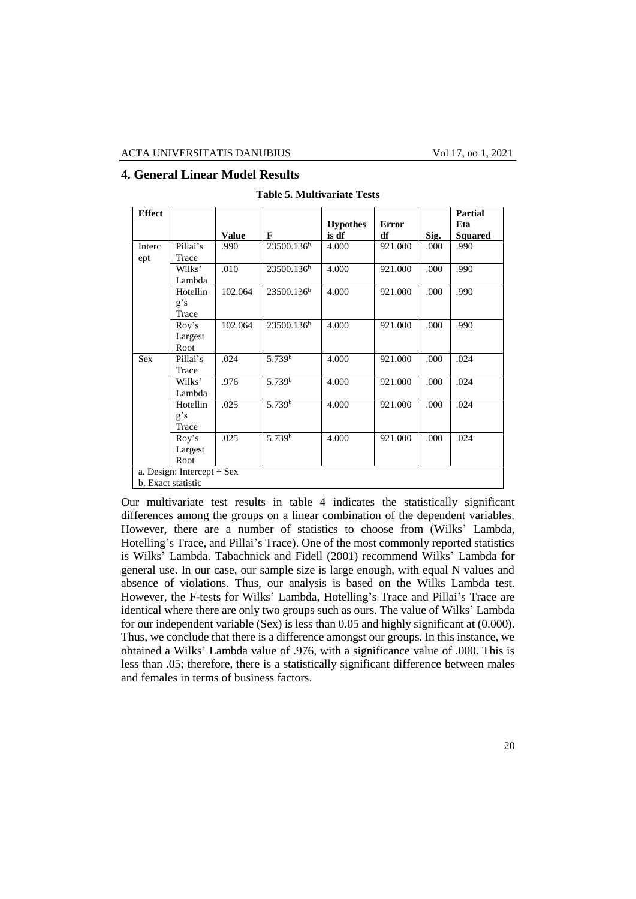# **4. General Linear Model Results**

| <b>Effect</b> |                            |              |                        |                 |              |      | Partial |
|---------------|----------------------------|--------------|------------------------|-----------------|--------------|------|---------|
|               |                            |              |                        | <b>Hypothes</b> | <b>Error</b> |      | Eta     |
|               |                            | <b>Value</b> | F                      | is df           | df           | Sig. | Squared |
| Interc        | Pillai's                   | .990         | 23500.136 <sup>b</sup> | 4.000           | 921.000      | .000 | .990    |
| ept           | Trace                      |              |                        |                 |              |      |         |
|               | Wilks'                     | .010         | 23500.136 <sup>b</sup> | 4.000           | 921.000      | .000 | .990    |
|               | Lambda                     |              |                        |                 |              |      |         |
|               | Hotellin                   | 102.064      | 23500.136 <sup>b</sup> | 4.000           | 921.000      | .000 | .990    |
|               | g's                        |              |                        |                 |              |      |         |
|               | Trace                      |              |                        |                 |              |      |         |
|               | Roy's                      | 102.064      | 23500.136 <sup>b</sup> | 4.000           | 921.000      | .000 | .990    |
|               | Largest                    |              |                        |                 |              |      |         |
|               | Root                       |              |                        |                 |              |      |         |
| <b>Sex</b>    | Pillai's                   | .024         | 5.739 <sup>b</sup>     | 4.000           | 921.000      | .000 | .024    |
|               | Trace                      |              |                        |                 |              |      |         |
|               | Wilks'                     | .976         | 5.739 <sup>b</sup>     | 4.000           | 921.000      | .000 | .024    |
|               | Lambda                     |              |                        |                 |              |      |         |
|               | Hotellin                   | .025         | 5.739 <sup>b</sup>     | 4.000           | 921.000      | .000 | .024    |
|               | g's                        |              |                        |                 |              |      |         |
|               | Trace                      |              |                        |                 |              |      |         |
|               | Roy's                      | .025         | 5.739 <sup>b</sup>     | 4.000           | 921.000      | .000 | .024    |
|               | Largest                    |              |                        |                 |              |      |         |
|               | Root                       |              |                        |                 |              |      |         |
|               | a. Design: Intercept + Sex |              |                        |                 |              |      |         |
|               | b. Exact statistic         |              |                        |                 |              |      |         |

**Table 5. Multivariate Tests**

Our multivariate test results in table 4 indicates the statistically significant differences among the groups on a linear combination of the dependent variables. However, there are a number of statistics to choose from (Wilks' Lambda, Hotelling's Trace, and Pillai's Trace). One of the most commonly reported statistics is Wilks' Lambda. Tabachnick and Fidell (2001) recommend Wilks' Lambda for general use. In our case, our sample size is large enough, with equal N values and absence of violations. Thus, our analysis is based on the Wilks Lambda test. However, the F-tests for Wilks' Lambda, Hotelling's Trace and Pillai's Trace are identical where there are only two groups such as ours. The value of Wilks' Lambda for our independent variable (Sex) is less than 0.05 and highly significant at (0.000). Thus, we conclude that there is a difference amongst our groups. In this instance, we obtained a Wilks' Lambda value of .976, with a significance value of .000. This is less than .05; therefore, there is a statistically significant difference between males and females in terms of business factors.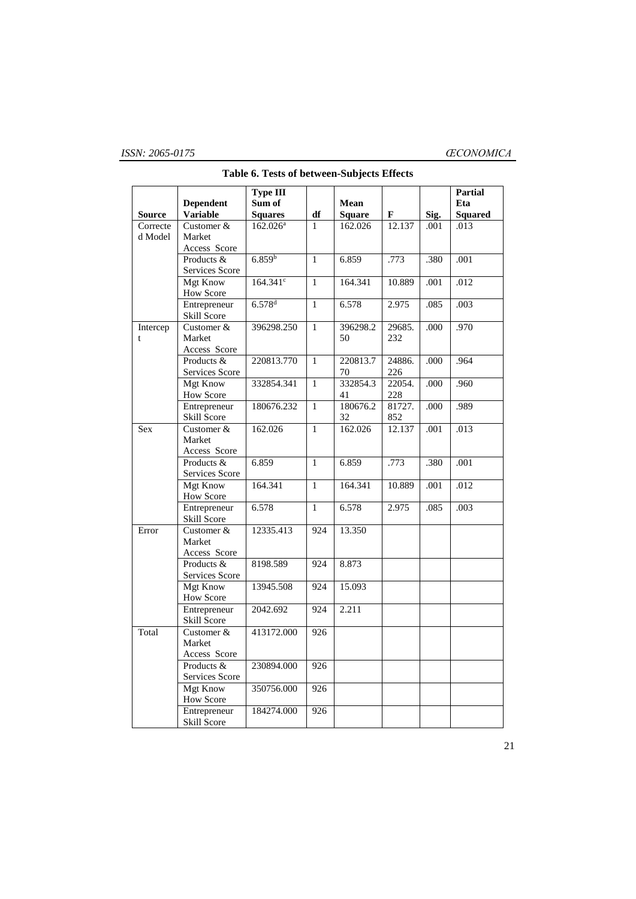|               |                  | Type III             |              |               |        |      | <b>Partial</b> |
|---------------|------------------|----------------------|--------------|---------------|--------|------|----------------|
|               | <b>Dependent</b> | Sum of               |              | Mean          |        |      | Eta            |
| <b>Source</b> | <b>Variable</b>  | <b>Squares</b>       | df           | <b>Square</b> | F      | Sig. | <b>Squared</b> |
| Correcte      | Customer &       | 162.026 <sup>a</sup> | 1            | 162.026       | 12.137 | .001 | .013           |
| d Model       | Market           |                      |              |               |        |      |                |
|               | Access Score     |                      |              |               |        |      |                |
|               | Products &       | 6.859 <sup>b</sup>   | $\mathbf{1}$ | 6.859         | .773   | .380 | .001           |
|               | Services Score   |                      |              |               |        |      |                |
|               | Mgt Know         | 164.341 <sup>c</sup> | $\mathbf{1}$ | 164.341       | 10.889 | .001 | .012           |
|               | <b>How Score</b> |                      |              |               |        |      |                |
|               | Entrepreneur     | $6.578$ <sup>d</sup> | $\mathbf{1}$ | 6.578         | 2.975  | .085 | .003           |
|               | Skill Score      |                      |              |               |        |      |                |
| Intercep      | Customer $\&$    | 396298.250           | $\mathbf{1}$ | 396298.2      | 29685. | .000 | .970           |
| t             | Market           |                      |              | 50            | 232    |      |                |
|               | Access Score     |                      |              |               |        |      |                |
|               | Products &       | 220813.770           | $\mathbf{1}$ | 220813.7      | 24886. | .000 | .964           |
|               | Services Score   |                      |              | 70            | 226    |      |                |
|               | Mgt Know         | 332854.341           | $\mathbf{1}$ | 332854.3      | 22054. | .000 | .960           |
|               | <b>How Score</b> |                      |              | 41            | 228    |      |                |
|               | Entrepreneur     | 180676.232           | $\mathbf{1}$ | 180676.2      | 81727. | .000 | .989           |
|               | Skill Score      |                      |              | 32            | 852    |      |                |
| Sex           | Customer &       | 162.026              | $\mathbf{1}$ | 162.026       | 12.137 | .001 | .013           |
|               | Market           |                      |              |               |        |      |                |
|               | Access Score     |                      |              |               |        |      |                |
|               | Products &       | 6.859                | $\mathbf{1}$ | 6.859         | .773   | .380 | .001           |
|               | Services Score   |                      |              |               |        |      |                |
|               | <b>Mgt Know</b>  | 164.341              | $\mathbf{1}$ | 164.341       | 10.889 | .001 | .012           |
|               | <b>How Score</b> |                      |              |               |        |      |                |
|               | Entrepreneur     | 6.578                | $\mathbf{1}$ | 6.578         | 2.975  | .085 | .003           |
|               | Skill Score      |                      |              |               |        |      |                |
| Error         | Customer $&$     | 12335.413            | 924          | 13.350        |        |      |                |
|               | Market           |                      |              |               |        |      |                |
|               | Access Score     |                      |              |               |        |      |                |
|               | Products &       | 8198.589             | 924          | 8.873         |        |      |                |
|               | Services Score   |                      |              |               |        |      |                |
|               | <b>Mgt Know</b>  | 13945.508            | 924          | 15.093        |        |      |                |
|               | <b>How Score</b> |                      |              |               |        |      |                |
|               | Entrepreneur     | 2042.692             | 924          | 2.211         |        |      |                |
|               | Skill Score      |                      |              |               |        |      |                |
| Total         | Customer &       | 413172.000           | 926          |               |        |      |                |
|               | Market           |                      |              |               |        |      |                |
|               | Access Score     |                      |              |               |        |      |                |
|               | Products &       | 230894.000           | 926          |               |        |      |                |
|               | Services Score   |                      |              |               |        |      |                |
|               | <b>Mgt Know</b>  | 350756.000           | 926          |               |        |      |                |
|               | <b>How Score</b> |                      |              |               |        |      |                |
|               | Entrepreneur     | 184274.000           | 926          |               |        |      |                |
|               | Skill Score      |                      |              |               |        |      |                |

# **Table 6. Tests of between-Subjects Effects**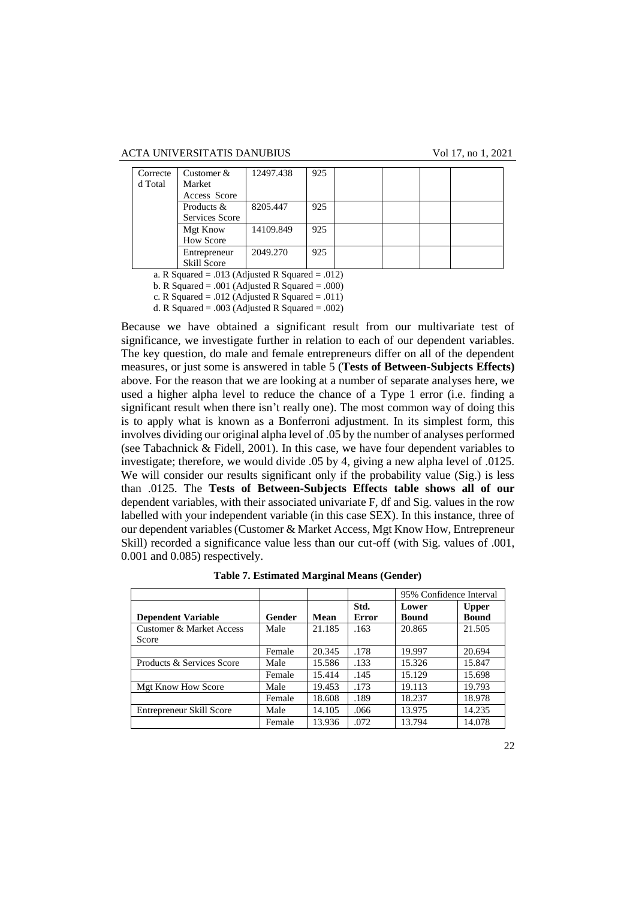| Correcte | Customer $&$     | 12497.438 | 925 |  |  |
|----------|------------------|-----------|-----|--|--|
| d Total  | Market           |           |     |  |  |
|          | Access Score     |           |     |  |  |
|          | Products &       | 8205.447  | 925 |  |  |
|          | Services Score   |           |     |  |  |
|          | Mgt Know         | 14109.849 | 925 |  |  |
|          | <b>How Score</b> |           |     |  |  |
|          | Entrepreneur     | 2049.270  | 925 |  |  |
|          | Skill Score      |           |     |  |  |

a. R Squared = .013 (Adjusted R Squared = .012)

b. R Squared = .001 (Adjusted R Squared = .000)

c. R Squared = .012 (Adjusted R Squared = .011) d. R Squared = .003 (Adjusted R Squared = .002)

Because we have obtained a significant result from our multivariate test of significance, we investigate further in relation to each of our dependent variables. The key question, do male and female entrepreneurs differ on all of the dependent measures, or just some is answered in table 5 (**Tests of Between-Subjects Effects)**  above. For the reason that we are looking at a number of separate analyses here, we used a higher alpha level to reduce the chance of a Type 1 error (i.e. finding a significant result when there isn't really one). The most common way of doing this is to apply what is known as a Bonferroni adjustment. In its simplest form, this involves dividing our original alpha level of .05 by the number of analyses performed (see Tabachnick & Fidell, 2001). In this case, we have four dependent variables to investigate; therefore, we would divide .05 by 4, giving a new alpha level of .0125. We will consider our results significant only if the probability value (Sig.) is less than .0125. The **Tests of Between-Subjects Effects table shows all of our**  dependent variables, with their associated univariate F, df and Sig. values in the row labelled with your independent variable (in this case SEX). In this instance, three of our dependent variables (Customer & Market Access, Mgt Know How, Entrepreneur Skill) recorded a significance value less than our cut-off (with Sig. values of .001, 0.001 and 0.085) respectively.

|                           |               |        |                      | 95% Confidence Interval |                              |  |
|---------------------------|---------------|--------|----------------------|-------------------------|------------------------------|--|
| <b>Dependent Variable</b> | <b>Gender</b> | Mean   | Std.<br><b>Error</b> | Lower<br><b>Bound</b>   | <b>Upper</b><br><b>Bound</b> |  |
| Customer & Market Access  | Male          | 21.185 | .163                 | 20.865                  | 21.505                       |  |
| Score                     |               |        |                      |                         |                              |  |
|                           | Female        | 20.345 | .178                 | 19.997                  | 20.694                       |  |
| Products & Services Score | Male          | 15.586 | .133                 | 15.326                  | 15.847                       |  |
|                           | Female        | 15.414 | .145                 | 15.129                  | 15.698                       |  |
| <b>Mgt Know How Score</b> | Male          | 19.453 | .173                 | 19.113                  | 19.793                       |  |
|                           | Female        | 18.608 | .189                 | 18.237                  | 18.978                       |  |
| Entrepreneur Skill Score  | Male          | 14.105 | .066                 | 13.975                  | 14.235                       |  |
|                           | Female        | 13.936 | .072                 | 13.794                  | 14.078                       |  |

**Table 7. Estimated Marginal Means (Gender)**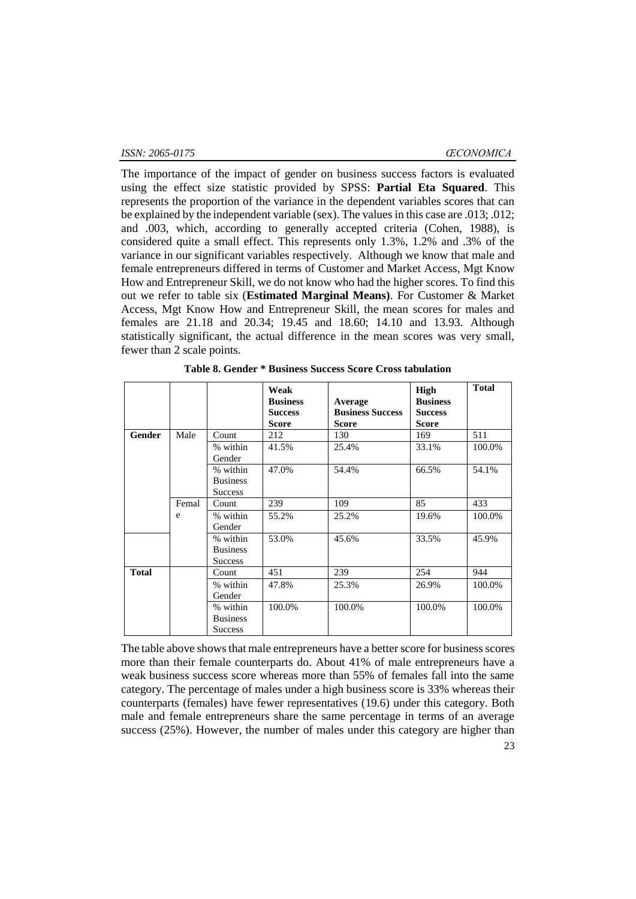The importance of the impact of gender on business success factors is evaluated using the effect size statistic provided by SPSS: **Partial Eta Squared**. This represents the proportion of the variance in the dependent variables scores that can be explained by the independent variable (sex). The values in this case are .013; .012; and .003, which, according to generally accepted criteria (Cohen, 1988), is considered quite a small effect. This represents only 1.3%, 1.2% and .3% of the variance in our significant variables respectively. Although we know that male and female entrepreneurs differed in terms of Customer and Market Access, Mgt Know How and Entrepreneur Skill, we do not know who had the higher scores. To find this out we refer to table six (**Estimated Marginal Means)**. For Customer & Market Access, Mgt Know How and Entrepreneur Skill, the mean scores for males and females are 21.18 and 20.34; 19.45 and 18.60; 14.10 and 13.93. Although statistically significant, the actual difference in the mean scores was very small, fewer than 2 scale points.

|              |       |                                               | Weak<br><b>Business</b><br><b>Success</b><br><b>Score</b> | Average<br><b>Business Success</b><br><b>Score</b> | High<br><b>Business</b><br><b>Success</b><br><b>Score</b> | <b>Total</b> |
|--------------|-------|-----------------------------------------------|-----------------------------------------------------------|----------------------------------------------------|-----------------------------------------------------------|--------------|
| Gender       | Male  | Count                                         | 212                                                       | 130                                                | 169                                                       | 511          |
|              |       | % within<br>Gender                            | 41.5%                                                     | 25.4%                                              | 33.1%                                                     | 100.0%       |
|              |       | % within<br><b>Business</b><br><b>Success</b> | 47.0%                                                     | 54.4%                                              | 66.5%                                                     | 54.1%        |
|              | Femal | Count                                         | 239                                                       | 109                                                | 85                                                        | 433          |
|              | e     | % within<br>Gender                            | 55.2%                                                     | 25.2%                                              | 19.6%                                                     | 100.0%       |
|              |       | % within<br><b>Business</b><br><b>Success</b> | 53.0%                                                     | 45.6%                                              | 33.5%                                                     | 45.9%        |
| <b>Total</b> |       | Count                                         | 451                                                       | 239                                                | 254                                                       | 944          |
|              |       | % within<br>Gender                            | 47.8%                                                     | 25.3%                                              | 26.9%                                                     | 100.0%       |
|              |       | % within<br><b>Business</b><br><b>Success</b> | 100.0%                                                    | 100.0%                                             | 100.0%                                                    | 100.0%       |

**Table 8. Gender \* Business Success Score Cross tabulation**

The table above shows that male entrepreneurs have a better score for business scores more than their female counterparts do. About 41% of male entrepreneurs have a weak business success score whereas more than 55% of females fall into the same category. The percentage of males under a high business score is 33% whereas their counterparts (females) have fewer representatives (19.6) under this category. Both male and female entrepreneurs share the same percentage in terms of an average success (25%). However, the number of males under this category are higher than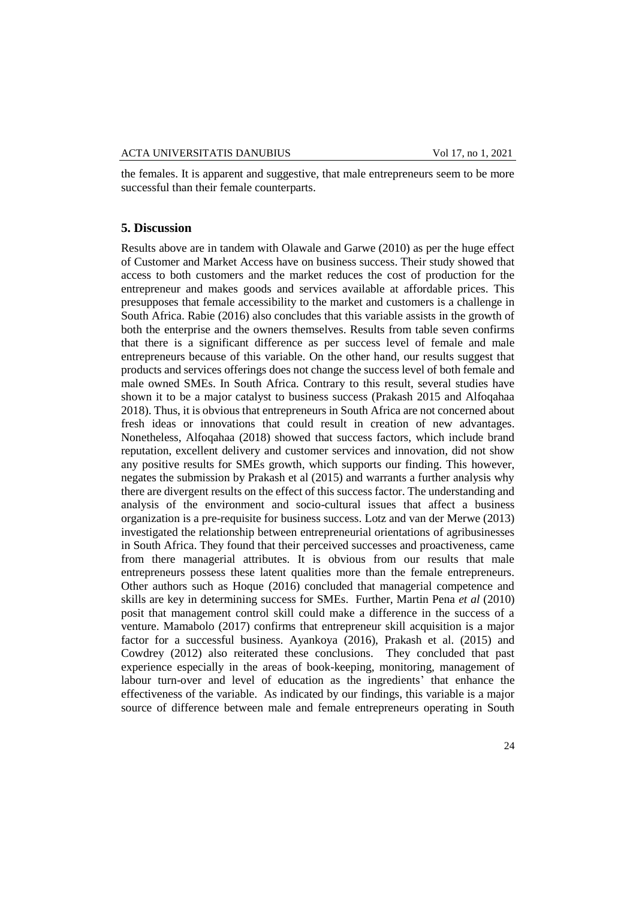the females. It is apparent and suggestive, that male entrepreneurs seem to be more successful than their female counterparts.

#### **5. Discussion**

Results above are in tandem with Olawale and Garwe (2010) as per the huge effect of Customer and Market Access have on business success. Their study showed that access to both customers and the market reduces the cost of production for the entrepreneur and makes goods and services available at affordable prices. This presupposes that female accessibility to the market and customers is a challenge in South Africa. Rabie (2016) also concludes that this variable assists in the growth of both the enterprise and the owners themselves. Results from table seven confirms that there is a significant difference as per success level of female and male entrepreneurs because of this variable. On the other hand, our results suggest that products and services offerings does not change the success level of both female and male owned SMEs. In South Africa. Contrary to this result, several studies have shown it to be a major catalyst to business success (Prakash 2015 and Alfoqahaa 2018). Thus, it is obvious that entrepreneurs in South Africa are not concerned about fresh ideas or innovations that could result in creation of new advantages. Nonetheless, Alfoqahaa (2018) showed that success factors, which include brand reputation, excellent delivery and customer services and innovation, did not show any positive results for SMEs growth, which supports our finding. This however, negates the submission by Prakash et al (2015) and warrants a further analysis why there are divergent results on the effect of this success factor. The understanding and analysis of the environment and socio-cultural issues that affect a business organization is a pre-requisite for business success. Lotz and van der Merwe (2013) investigated the relationship between entrepreneurial orientations of agribusinesses in South Africa. They found that their perceived successes and proactiveness, came from there managerial attributes. It is obvious from our results that male entrepreneurs possess these latent qualities more than the female entrepreneurs. Other authors such as Hoque (2016) concluded that managerial competence and skills are key in determining success for SMEs. Further, Martin Pena *et al* (2010) posit that management control skill could make a difference in the success of a venture. Mamabolo (2017) confirms that entrepreneur skill acquisition is a major factor for a successful business. Ayankoya (2016), Prakash et al. (2015) and Cowdrey (2012) also reiterated these conclusions. They concluded that past experience especially in the areas of book-keeping, monitoring, management of labour turn-over and level of education as the ingredients' that enhance the effectiveness of the variable. As indicated by our findings, this variable is a major source of difference between male and female entrepreneurs operating in South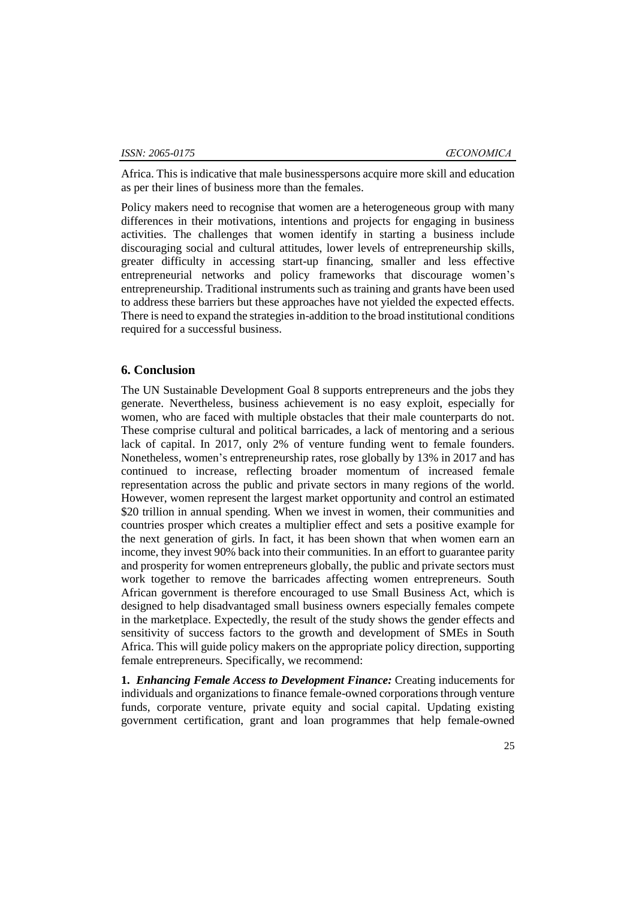Africa. This is indicative that male businesspersons acquire more skill and education as per their lines of business more than the females.

Policy makers need to recognise that women are a heterogeneous group with many differences in their motivations, intentions and projects for engaging in business activities. The challenges that women identify in starting a business include discouraging social and cultural attitudes, lower levels of entrepreneurship skills, greater difficulty in accessing start-up financing, smaller and less effective entrepreneurial networks and policy frameworks that discourage women's entrepreneurship. Traditional instruments such as training and grants have been used to address these barriers but these approaches have not yielded the expected effects. There is need to expand the strategies in-addition to the broad institutional conditions required for a successful business.

### **6. Conclusion**

The UN Sustainable Development Goal 8 supports entrepreneurs and the jobs they generate. Nevertheless, business achievement is no easy exploit, especially for women, who are faced with multiple obstacles that their male counterparts do not. These comprise cultural and political barricades, a lack of mentoring and a serious lack of capital. In 2017, only 2% of venture funding went to female founders. Nonetheless, women's entrepreneurship rates, rose globally by 13% in 2017 and has continued to increase, reflecting broader momentum of increased female representation across the public and private sectors in many regions of the world. However, women represent the largest market opportunity and control an estimated \$20 trillion in annual spending. When we invest in women, their communities and countries prosper which creates a multiplier effect and sets a positive example for the next generation of girls. In fact, it has been shown that when women earn an income, they invest 90% back into their communities. In an effort to guarantee parity and prosperity for women entrepreneurs globally, the public and private sectors must work together to remove the barricades affecting women entrepreneurs. South African government is therefore encouraged to use Small Business Act, which is designed to help disadvantaged small business owners especially females compete in the marketplace. Expectedly, the result of the study shows the gender effects and sensitivity of success factors to the growth and development of SMEs in South Africa. This will guide policy makers on the appropriate policy direction, supporting female entrepreneurs. Specifically, we recommend:

**1.** *Enhancing Female Access to Development Finance:* Creating inducements for individuals and organizations to finance female-owned corporations through venture funds, corporate venture, private equity and social capital. Updating existing government certification, grant and loan programmes that help female-owned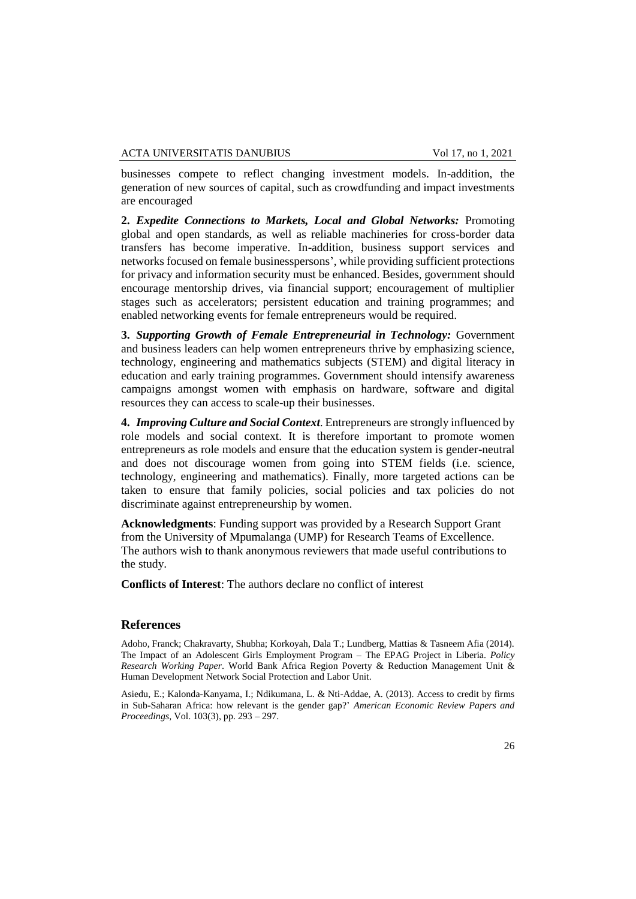businesses compete to reflect changing investment models. In-addition, the generation of new sources of capital, such as crowdfunding and impact investments are encouraged

**2.** *Expedite Connections to Markets, Local and Global Networks:* Promoting global and open standards, as well as reliable machineries for cross-border data transfers has become imperative. In-addition, business support services and networks focused on female businesspersons', while providing sufficient protections for privacy and information security must be enhanced. Besides, government should encourage mentorship drives, via financial support; encouragement of multiplier stages such as accelerators; persistent education and training programmes; and enabled networking events for female entrepreneurs would be required.

**3.** *Supporting Growth of Female Entrepreneurial in Technology:* Government and business leaders can help women entrepreneurs thrive by emphasizing science, technology, engineering and mathematics subjects (STEM) and digital literacy in education and early training programmes. Government should intensify awareness campaigns amongst women with emphasis on hardware, software and digital resources they can access to scale-up their businesses.

**4.** *Improving Culture and Social Context*. Entrepreneurs are strongly influenced by role models and social context. It is therefore important to promote women entrepreneurs as role models and ensure that the education system is gender-neutral and does not discourage women from going into STEM fields (i.e. science, technology, engineering and mathematics). Finally, more targeted actions can be taken to ensure that family policies, social policies and tax policies do not discriminate against entrepreneurship by women.

**Acknowledgments**: Funding support was provided by a Research Support Grant from the University of Mpumalanga (UMP) for Research Teams of Excellence. The authors wish to thank anonymous reviewers that made useful contributions to the study.

**Conflicts of Interest**: The authors declare no conflict of interest

# **References**

Adoho, Franck; Chakravarty, Shubha; Korkoyah, Dala T.; Lundberg, Mattias & Tasneem Afia (2014). The Impact of an Adolescent Girls Employment Program – The EPAG Project in Liberia. *Policy Research Working Paper*. World Bank Africa Region Poverty & Reduction Management Unit & Human Development Network Social Protection and Labor Unit.

Asiedu, E.; Kalonda-Kanyama, I.; Ndikumana, L. & Nti-Addae, A. (2013). Access to credit by firms in Sub-Saharan Africa: how relevant is the gender gap?' *American Economic Review Papers and Proceedings*, Vol. 103(3), pp. 293 – 297.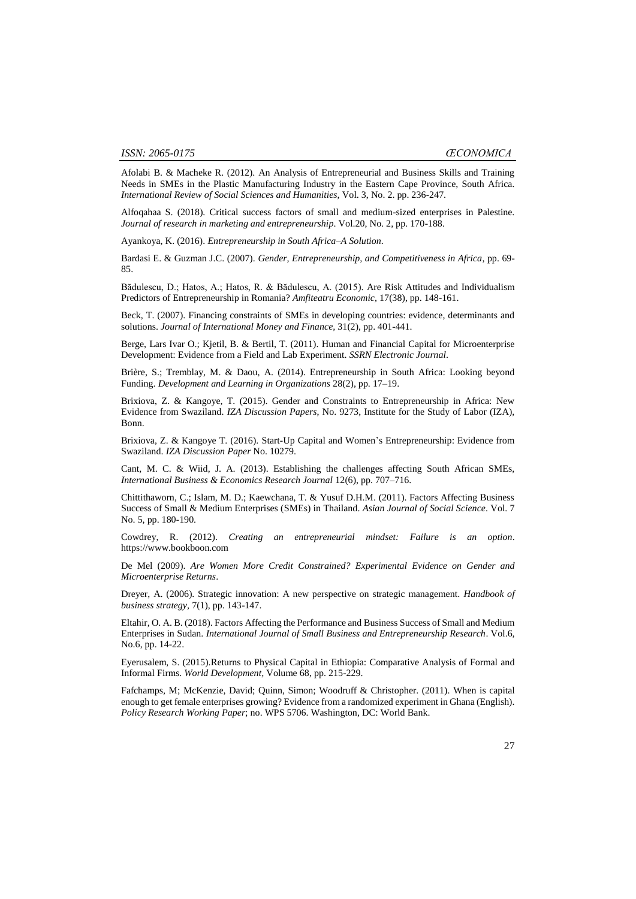Afolabi B. & Macheke R. (2012). An Analysis of Entrepreneurial and Business Skills and Training Needs in SMEs in the Plastic Manufacturing Industry in the Eastern Cape Province, South Africa*. International Review of Social Sciences and Humanities,* Vol. 3, No. 2. pp. 236-247.

Alfoqahaa S. (2018). Critical success factors of small and medium-sized enterprises in Palestine. *Journal of research in marketing and entrepreneurship*. Vol.20, No. 2, pp. 170-188.

Ayankoya, K. (2016). *Entrepreneurship in South Africa–A Solution*.

Bardasi E. & Guzman J.C. (2007). *Gender, Entrepreneurship, and Competitiveness in Africa*, pp. 69- 85.

Bădulescu, D.; Hatos, A.; Hatos, R. & Bădulescu, A. (2015). Are Risk Attitudes and Individualism Predictors of Entrepreneurship in Romania? *Amfiteatru Economic,* 17(38), pp. 148-161.

Beck, T. (2007). Financing constraints of SMEs in developing countries: evidence, determinants and solutions. *Journal of International Money and Finance,* 31(2), pp. 401-441.

Berge, Lars Ivar O.; Kjetil, B. & Bertil, T. (2011). Human and Financial Capital for Microenterprise Development: Evidence from a Field and Lab Experiment. *SSRN Electronic Journal*.

Brière, S.; Tremblay, M. & Daou, A. (2014). Entrepreneurship in South Africa: Looking beyond Funding. *Development and Learning in Organizations* 28(2), pp. 17–19.

Brixiova, Z. & Kangoye, T. (2015). Gender and Constraints to Entrepreneurship in Africa: New Evidence from Swaziland. *IZA Discussion Papers*, No. 9273, Institute for the Study of Labor (IZA), Bonn.

Brixiova, Z. & Kangoye T. (2016). Start-Up Capital and Women's Entrepreneurship: Evidence from Swaziland. *IZA Discussion Paper* No. 10279.

Cant, M. C. & Wiid, J. A. (2013). Establishing the challenges affecting South African SMEs, *International Business & Economics Research Journal* 12(6), pp. 707–716.

Chittithaworn, C.; Islam, M. D.; Kaewchana, T. & Yusuf D.H.M. (2011). Factors Affecting Business Success of Small & Medium Enterprises (SMEs) in Thailand. *Asian Journal of Social Science*. Vol. 7 No. 5, pp. 180-190.

Cowdrey, R. (2012). *Creating an entrepreneurial mindset: Failure is an option*. https://www.bookboon.com

De Mel (2009). *Are Women More Credit Constrained? Experimental Evidence on Gender and Microenterprise Returns*.

Dreyer, A. (2006). Strategic innovation: A new perspective on strategic management. *Handbook of business strategy,* 7(1), pp. 143-147.

Eltahir, O. A. B. (2018). Factors Affecting the Performance and Business Success of Small and Medium Enterprises in Sudan. *International Journal of Small Business and Entrepreneurship Research*. Vol.6, No.6, pp. 14-22.

Eyerusalem, S. (2015).Returns to Physical Capital in Ethiopia: Comparative Analysis of Formal and Informal Firms. *World Development,* Volume 68, pp. 215-229.

Fafchamps, M; McKenzie, David; Quinn, Simon; Woodruff & Christopher. (2011). When is capital enough to get female enterprises growing? Evidence from a randomized experiment in Ghana (English). *Policy Research Working Paper*; no. WPS 5706. Washington, DC: World Bank.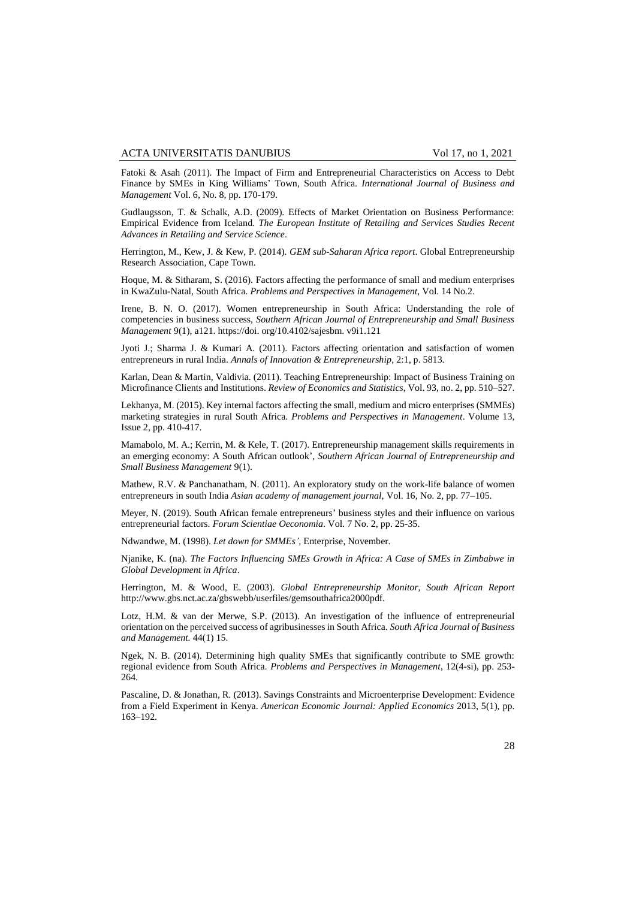Fatoki & Asah (2011). The Impact of Firm and Entrepreneurial Characteristics on Access to Debt Finance by SMEs in King Williams' Town, South Africa. *International Journal of Business and Management* Vol. 6, No. 8, pp. 170-179.

Gudlaugsson, T. & Schalk, A.D. (2009). Effects of Market Orientation on Business Performance: Empirical Evidence from Iceland. *The European Institute of Retailing and Services Studies Recent Advances in Retailing and Service Science*.

Herrington, M., Kew, J. & Kew, P. (2014). *GEM sub-Saharan Africa report*. Global Entrepreneurship Research Association, Cape Town.

Hoque, M. & Sitharam, S. (2016). Factors affecting the performance of small and medium enterprises in KwaZulu-Natal, South Africa. *Problems and Perspectives in Management*, Vol. 14 No.2.

Irene, B. N. O. (2017). Women entrepreneurship in South Africa: Understanding the role of competencies in business success, *Southern African Journal of Entrepreneurship and Small Business Management* 9(1), a121. https://doi. org/10.4102/sajesbm. v9i1.121

Jyoti J.; Sharma J. & Kumari A. (2011). Factors affecting orientation and satisfaction of women entrepreneurs in rural India. *Annals of Innovation & Entrepreneurship*, 2:1, p. 5813.

Karlan, Dean & Martin, Valdivia. (2011). Teaching Entrepreneurship: Impact of Business Training on Microfinance Clients and Institutions. *Review of Economics and Statistics*, Vol. 93, no. 2, pp. 510–527.

Lekhanya, M. (2015). Key internal factors affecting the small, medium and micro enterprises (SMMEs) marketing strategies in rural South Africa. *Problems and Perspectives in Management*. Volume 13, Issue 2, pp. 410-417.

Mamabolo, M. A.; Kerrin, M. & Kele, T. (2017). Entrepreneurship management skills requirements in an emerging economy: A South African outlook', *Southern African Journal of Entrepreneurship and Small Business Management* 9(1).

Mathew, R.V. & Panchanatham, N. (2011). An exploratory study on the work-life balance of women entrepreneurs in south India *Asian academy of management journal*, Vol. 16, No. 2, pp. 77–105.

Meyer, N. (2019). South African female entrepreneurs' business styles and their influence on various entrepreneurial factors. *Forum Scientiae Oeconomia*. Vol. 7 No. 2, pp. 25-35.

Ndwandwe, M. (1998). *Let down for SMMEs'*, Enterprise, November.

Njanike, K. (na). *The Factors Influencing SMEs Growth in Africa: A Case of SMEs in Zimbabwe in Global Development in Africa*.

Herrington, M. & Wood, E. (2003). *Global Entrepreneurship Monitor, South African Report* http://www.gbs.nct.ac.za/gbswebb/userfiles/gemsouthafrica2000pdf.

Lotz, H.M. & van der Merwe, S.P. (2013). An investigation of the influence of entrepreneurial orientation on the perceived success of agribusinesses in South Africa. *South Africa Journal of Business and Management.* 44(1) 15.

Ngek, N. B. (2014). Determining high quality SMEs that significantly contribute to SME growth: regional evidence from South Africa. *Problems and Perspectives in Management*, 12(4-si), pp. 253- 264.

Pascaline, D. & Jonathan, R. (2013). Savings Constraints and Microenterprise Development: Evidence from a Field Experiment in Kenya. *American Economic Journal: Applied Economics* 2013, 5(1), pp. 163–192.